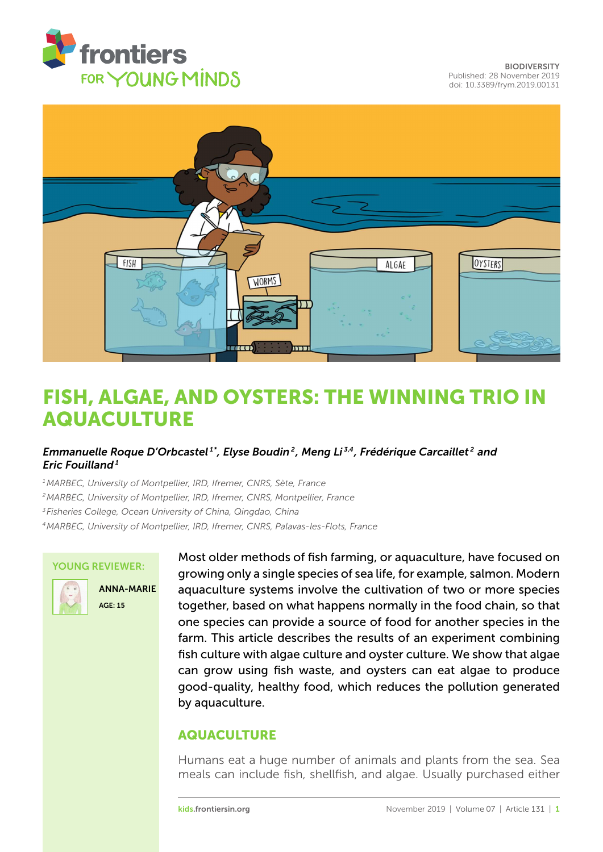



# [FISH, ALGAE, AND OYSTERS: THE WINNING TRIO IN](https://kids.frontiersin.org/article/10.3389/frym.2019.00131) AQUACULTURE

## *[Emmanuelle Roque D'Orbcastel](https://loop.frontiersin.org/people/763127/overview) 1\*, [Elyse Boudin](https://loop.frontiersin.org/people/764823/overview) <sup>2</sup> , [Meng Li](https://loop.frontiersin.org/people/801876/overview) 3,4, [Frédérique Carcaillet](https://loop.frontiersin.org/people/673268/overview) <sup>2</sup> and [Eric Fouilland](https://loop.frontiersin.org/people/106874/overview) <sup>1</sup>*

*MARBEC, University of Montpellier, IRD, Ifremer, CNRS, Sète, France MARBEC, University of Montpellier, IRD, Ifremer, CNRS, Montpellier, France Fisheries College, Ocean University of China, Qingdao, China MARBEC, University of Montpellier, IRD, Ifremer, CNRS, Palavas-les-Flots, France*

#### YOUNG REVIEWER:



ANNA-MARIE AGE: 15

Most older methods of fish farming, or aquaculture, have focused on growing only a single species of sea life, for example, salmon. Modern aquaculture systems involve the cultivation of two or more species together, based on what happens normally in the food chain, so that one species can provide a source of food for another species in the farm. This article describes the results of an experiment combining fish culture with algae culture and oyster culture. We show that algae can grow using fish waste, and oysters can eat algae to produce good-quality, healthy food, which reduces the pollution generated by aquaculture.

## AQUACULTURE

Humans eat a huge number of animals and plants from the sea. Sea meals can include fish, shellfish, and algae. Usually purchased either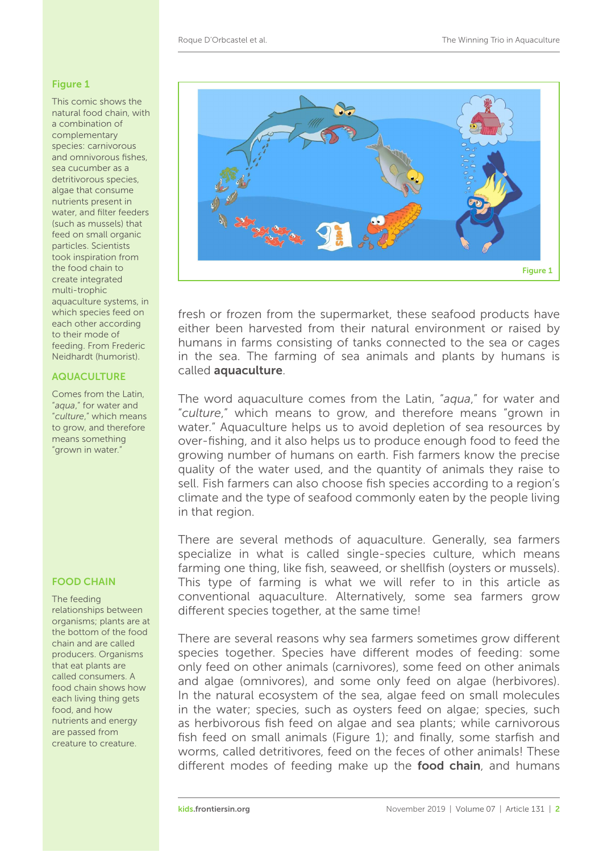#### <span id="page-1-0"></span>Figure 1

This comic shows the natural food chain, with a combination of complementary species: carnivorous and omnivorous fishes, sea cucumber as a detritivorous species, algae that consume nutrients present in water, and filter feeders (such as mussels) that feed on small organic particles. Scientists took inspiration from the food chain to create integrated multi-trophic aquaculture systems, in which species feed on each other according to their mode of feeding. From Frederic Neidhardt (humorist).

#### AQUACULTURE

Comes from the Latin, "*aqua*," for water and "*culture*," which means to grow, and therefore means something "grown in water."

#### FOOD CHAIN

The feeding relationships between organisms; plants are at the bottom of the food chain and are called producers. Organisms that eat plants are called consumers. A food chain shows how each living thing gets food, and how nutrients and energy are passed from creature to creature.



fresh or frozen from the supermarket, these seafood products have either been harvested from their natural environment or raised by humans in farms consisting of tanks connected to the sea or cages in the sea. The farming of sea animals and plants by humans is called aquaculture.

The word aquaculture comes from the Latin, "*aqua*," for water and "*culture*," which means to grow, and therefore means "grown in water." Aquaculture helps us to avoid depletion of sea resources by over-fishing, and it also helps us to produce enough food to feed the growing number of humans on earth. Fish farmers know the precise quality of the water used, and the quantity of animals they raise to sell. Fish farmers can also choose fish species according to a region's climate and the type of seafood commonly eaten by the people living in that region.

There are several methods of aquaculture. Generally, sea farmers specialize in what is called single-species culture, which means farming one thing, like fish, seaweed, or shellfish (oysters or mussels). This type of farming is what we will refer to in this article as conventional aquaculture. Alternatively, some sea farmers grow different species together, at the same time!

There are several reasons why sea farmers sometimes grow different species together. Species have different modes of feeding: some only feed on other animals (carnivores), some feed on other animals and algae (omnivores), and some only feed on algae (herbivores). In the natural ecosystem of the sea, algae feed on small molecules in the water; species, such as oysters feed on algae; species, such as herbivorous fish feed on algae and sea plants; while carnivorous fish feed on small animals [\(Figure 1\)](#page-1-0); and finally, some starfish and worms, called detritivores, feed on the feces of other animals! These different modes of feeding make up the food chain, and humans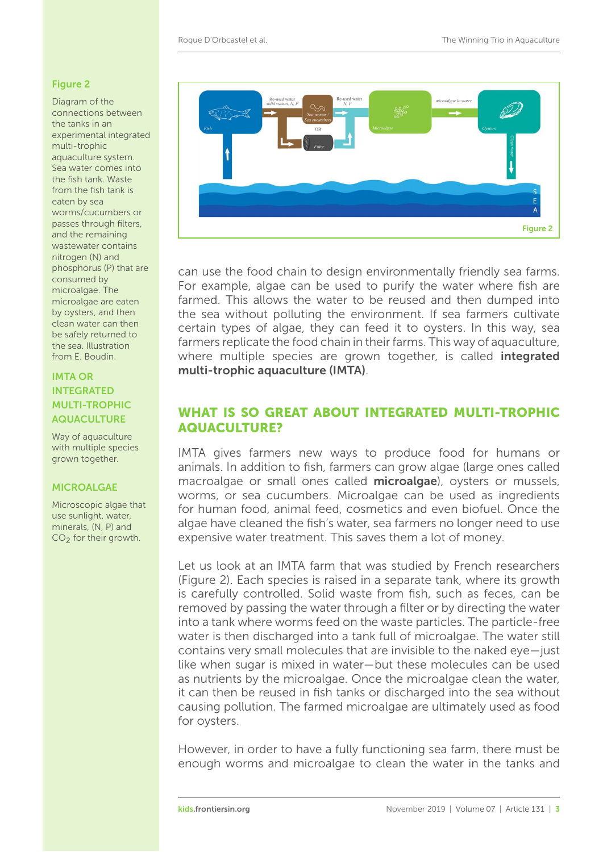### <span id="page-2-0"></span>Figure 2

Diagram of the connections between the tanks in an experimental integrated multi-trophic aquaculture system. Sea water comes into the fish tank. Waste from the fish tank is eaten by sea worms/cucumbers or passes through filters, and the remaining wastewater contains nitrogen (N) and phosphorus (P) that are consumed by microalgae. The microalgae are eaten by oysters, and then clean water can then be safely returned to the sea. Illustration from E. Boudin.

## IMTA OR INTEGRATED MULTI-TROPHIC AQUACULTURE

Way of aquaculture with multiple species grown together.

Microscopic algae that use sunlight, water, minerals, (N, P) and CO<sub>2</sub> for their growth.



can use the food chain to design environmentally friendly sea farms. For example, algae can be used to purify the water where fish are farmed. This allows the water to be reused and then dumped into the sea without polluting the environment. If sea farmers cultivate certain types of algae, they can feed it to oysters. In this way, sea farmers replicate the food chain in their farms. This way of aquaculture, where multiple species are grown together, is called **integrated** multi-trophic aquaculture (IMTA).

## WHAT IS SO GREAT ABOUT INTEGRATED MULTI-TROPHIC AQUACULTURE?

IMTA gives farmers new ways to produce food for humans or animals. In addition to fish, farmers can grow algae (large ones called macroalgae or small ones called microalgae), oysters or mussels, worms, or sea cucumbers. Microalgae can be used as ingredients for human food, animal feed, cosmetics and even biofuel. Once the algae have cleaned the fish's water, sea farmers no longer need to use expensive water treatment. This saves them a lot of money.

> Let us look at an IMTA farm that was studied by French researchers [\(Figure 2\)](#page-2-0). Each species is raised in a separate tank, where its growth is carefully controlled. Solid waste from fish, such as feces, can be removed by passing the water through a filter or by directing the water into a tank where worms feed on the waste particles. The particle-free water is then discharged into a tank full of microalgae. The water still contains very small molecules that are invisible to the naked eye—just like when sugar is mixed in water—but these molecules can be used as nutrients by the microalgae. Once the microalgae clean the water, it can then be reused in fish tanks or discharged into the sea without causing pollution. The farmed microalgae are ultimately used as food for oysters.

> However, in order to have a fully functioning sea farm, there must be enough worms and microalgae to clean the water in the tanks and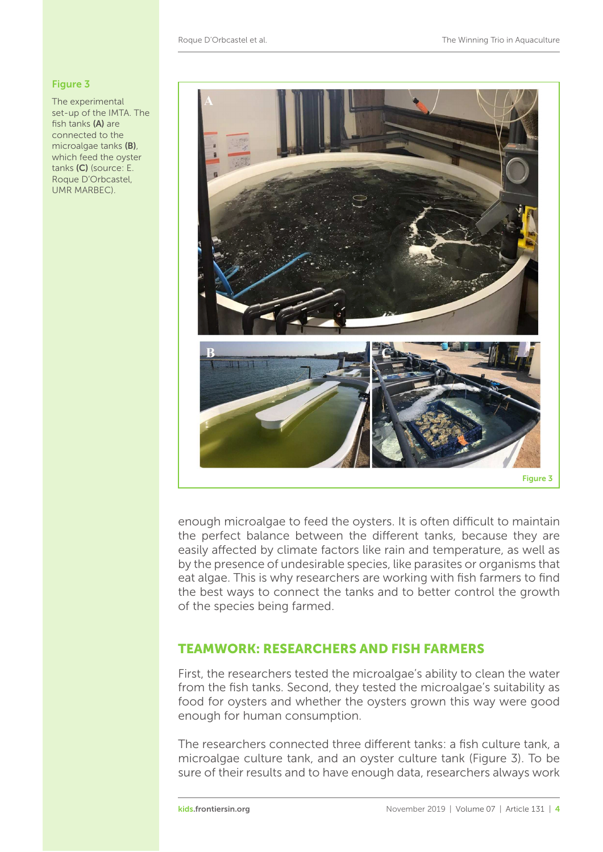### <span id="page-3-0"></span>Figure 3

The experimental set-up of the IMTA. The fish tanks (A) are connected to the microalgae tanks (B), which feed the oyster tanks (C) (source: E. Roque D'Orbcastel, UMR MARBEC).



enough microalgae to feed the oysters. It is often difficult to maintain the perfect balance between the different tanks, because they are easily affected by climate factors like rain and temperature, as well as by the presence of undesirable species, like parasites or organisms that eat algae. This is why researchers are working with fish farmers to find the best ways to connect the tanks and to better control the growth of the species being farmed.

## TEAMWORK: RESEARCHERS AND FISH FARMERS

First, the researchers tested the microalgae's ability to clean the water from the fish tanks. Second, they tested the microalgae's suitability as food for oysters and whether the oysters grown this way were good enough for human consumption.

The researchers connected three different tanks: a fish culture tank, a microalgae culture tank, and an oyster culture tank [\(Figure 3\)](#page-3-0). To be sure of their results and to have enough data, researchers always work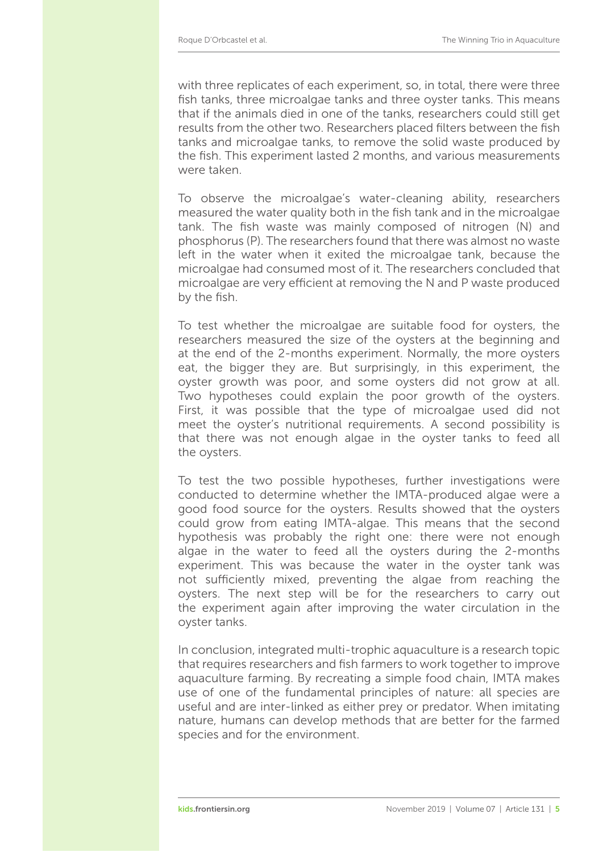with three replicates of each experiment, so, in total, there were three fish tanks, three microalgae tanks and three oyster tanks. This means that if the animals died in one of the tanks, researchers could still get results from the other two. Researchers placed filters between the fish tanks and microalgae tanks, to remove the solid waste produced by the fish. This experiment lasted 2 months, and various measurements were taken.

To observe the microalgae's water-cleaning ability, researchers measured the water quality both in the fish tank and in the microalgae tank. The fish waste was mainly composed of nitrogen (N) and phosphorus (P). The researchers found that there was almost no waste left in the water when it exited the microalgae tank, because the microalgae had consumed most of it. The researchers concluded that microalgae are very efficient at removing the N and P waste produced by the fish.

To test whether the microalgae are suitable food for oysters, the researchers measured the size of the oysters at the beginning and at the end of the 2-months experiment. Normally, the more oysters eat, the bigger they are. But surprisingly, in this experiment, the oyster growth was poor, and some oysters did not grow at all. Two hypotheses could explain the poor growth of the oysters. First, it was possible that the type of microalgae used did not meet the oyster's nutritional requirements. A second possibility is that there was not enough algae in the oyster tanks to feed all the oysters.

To test the two possible hypotheses, further investigations were conducted to determine whether the IMTA-produced algae were a good food source for the oysters. Results showed that the oysters could grow from eating IMTA-algae. This means that the second hypothesis was probably the right one: there were not enough algae in the water to feed all the oysters during the 2-months experiment. This was because the water in the oyster tank was not sufficiently mixed, preventing the algae from reaching the oysters. The next step will be for the researchers to carry out the experiment again after improving the water circulation in the oyster tanks.

In conclusion, integrated multi-trophic aquaculture is a research topic that requires researchers and fish farmers to work together to improve aquaculture farming. By recreating a simple food chain, IMTA makes use of one of the fundamental principles of nature: all species are useful and are inter-linked as either prey or predator. When imitating nature, humans can develop methods that are better for the farmed species and for the environment.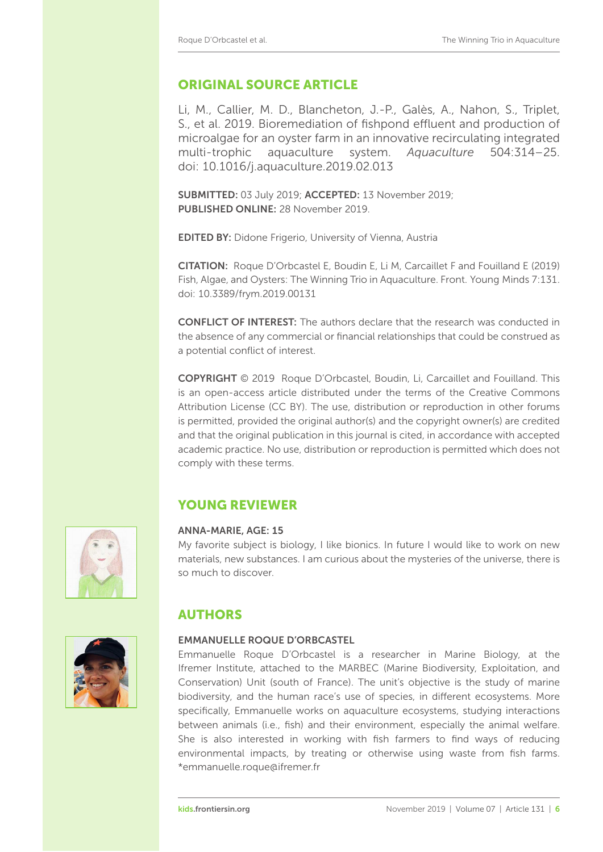## ORIGINAL SOURCE ARTICLE

Li, M., Callier, M. D., Blancheton, J.-P., Galès, A., Nahon, S., Triplet, S., et al. 2019. Bioremediation of fishpond effluent and production of microalgae for an oyster farm in an innovative recirculating integrated multi-trophic aquaculture system. *Aquaculture* 504:314–25. doi: [10.1016/j.aquaculture.2019.02.013](https://doi.org/10.1016/j.aquaculture.2019.02.013)

SUBMITTED: 03 July 2019; ACCEPTED: 13 November 2019; PUBLISHED ONLINE: 28 November 2019

EDITED BY: [Didone Frigerio,](https://loop.frontiersin.org/people/647193) University of Vienna, Austria

CITATION: Roque D'Orbcastel E, Boudin E, Li M, Carcaillet F and Fouilland E (2019) Fish, Algae, and Oysters: The Winning Trio in Aquaculture. Front. Young Minds 7:131. doi: [10.3389/frym.2019.00131](https://doi.org/10.3389/frym.2019.00131)

CONFLICT OF INTEREST: The authors declare that the research was conducted in the absence of any commercial or financial relationships that could be construed as a potential conflict of interest.

COPYRIGHT © 2019 Roque D'Orbcastel, Boudin, Li, Carcaillet and Fouilland. This is an open-access article distributed under the terms of the Creative Commons [Attribution License \(CC BY\). The use, distribution or reproduction in other forums](https://creativecommons.org/licenses/by/4.0/) is permitted, provided the original author(s) and the copyright owner(s) are credited and that the original publication in this journal is cited, in accordance with accepted academic practice. No use, distribution or reproduction is permitted which does not comply with these terms.

## YOUNG REVIEWER

#### ANNA-MARIE, AGE: 15

My favorite subject is biology, I like bionics. In future I would like to work on new materials, new substances. I am curious about the mysteries of the universe, there is so much to discover.

## AUTHORS

### EMMANUELLE ROQUE D'ORBCASTEL

Emmanuelle Roque D'Orbcastel is a researcher in Marine Biology, at the Ifremer Institute, attached to the MARBEC (Marine Biodiversity, Exploitation, and Conservation) Unit (south of France). The unit's objective is the study of marine biodiversity, and the human race's use of species, in different ecosystems. More specifically, Emmanuelle works on aquaculture ecosystems, studying interactions between animals (i.e., fish) and their environment, especially the animal welfare. She is also interested in working with fish farmers to find ways of reducing environmental impacts, by treating or otherwise using waste from fish farms. [\\*emmanuelle.roque@ifremer.fr](mailto:emmanuelle.roque@ifremer.fr)